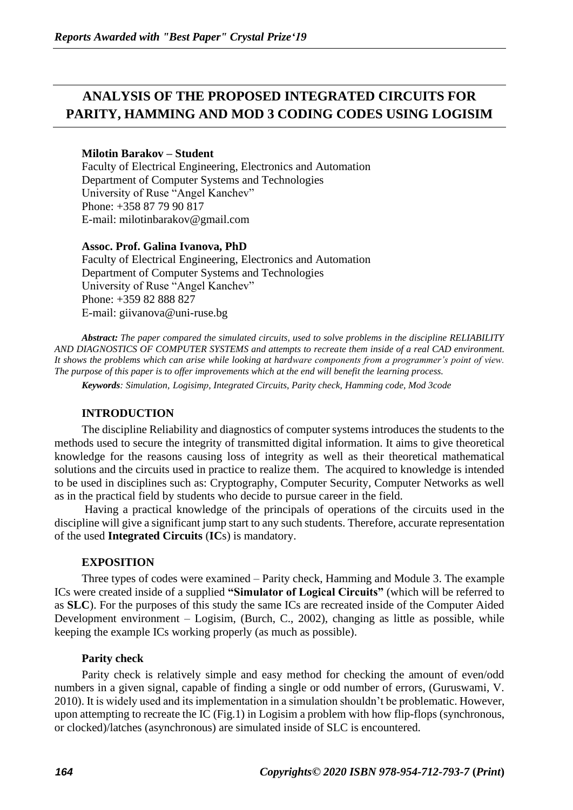# **ANALYSIS OF THE PROPOSED INTEGRATED CIRCUITS FOR PARITY, HAMMING AND MOD 3 CODING CODES USING LOGISIM**

## **Milotin Barakov – Student**

Faculty of Electrical Engineering, Electronics and Automation Department of Computer Systems and Technologies University of Ruse "Angel Kanchev" Phone: +358 87 79 90 817 E-mail: milotinbarakov@gmail.com

## **Assoc. Prof. Galina Ivanova, PhD**

Faculty of Electrical Engineering, Electronics and Automation Department of Computer Systems and Technologies University of Ruse "Angel Kanchev" Phone: +359 82 888 827 Е-mail: giivanova@uni-ruse.bg

*Abstract: The paper compared the simulated circuits, used to solve problems in the discipline RELIABILITY AND DIAGNOSTICS OF COMPUTER SYSTEMS and attempts to recreate them inside of a real CAD environment. It shows the problems which can arise while looking at hardware components from a programmer's point of view. The purpose of this paper is to offer improvements which at the end will benefit the learning process.* 

*Keywords: Simulation, Logisimр, Integrated Circuits, Parity check, Hamming code, Mod 3code*

## **INTRODUCTION**

The discipline Reliability and diagnostics of computer systems introduces the students to the methods used to secure the integrity of transmitted digital information. It aims to give theoretical knowledge for the reasons causing loss of integrity as well as their theoretical mathematical solutions and the circuits used in practice to realize them. The acquired to knowledge is intended to be used in disciplines such as: Cryptography, Computer Security, Computer Networks as well as in the practical field by students who decide to pursue career in the field.

Having a practical knowledge of the principals of operations of the circuits used in the discipline will give a significant jump start to any such students. Therefore, accurate representation of the used **Integrated Circuits** (**IC**s) is mandatory.

## **EXPOSITION**

Three types of codes were examined – Parity check, Hamming and Module 3. The example ICs were created inside of a supplied **"Simulator of Logical Circuits"** (which will be referred to as **SLC**). For the purposes of this study the same ICs are recreated inside of the Computer Aided Development environment – Logisim, (Burch, C., 2002), changing as little as possible, while keeping the example ICs working properly (as much as possible).

### **Parity check**

Parity check is relatively simple and easy method for checking the amount of even/odd numbers in a given signal, capable of finding a single or odd number of errors, (Guruswami, V. 2010). It is widely used and its implementation in a simulation shouldn't be problematic. However, upon attempting to recreate the IC (Fig.1) in Logisim a problem with how flip-flops (synchronous, or clocked)/latches (asynchronous) are simulated inside of SLC is encountered.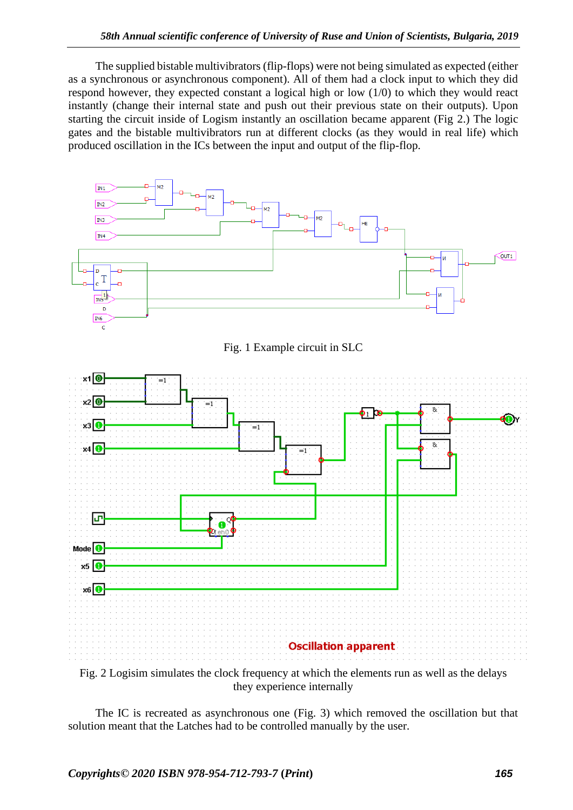The supplied bistable multivibrators (flip-flops) were not being simulated as expected (either as a synchronous or asynchronous component). All of them had a clock input to which they did respond however, they expected constant a logical high or low (1/0) to which they would react instantly (change their internal state and push out their previous state on their outputs). Upon starting the circuit inside of Logism instantly an oscillation became apparent (Fig 2.) The logic gates and the bistable multivibrators run at different clocks (as they would in real life) which produced oscillation in the ICs between the input and output of the flip-flop.



they experience internally

The IC is recreated as asynchronous one (Fig. 3) which removed the oscillation but that solution meant that the Latches had to be controlled manually by the user.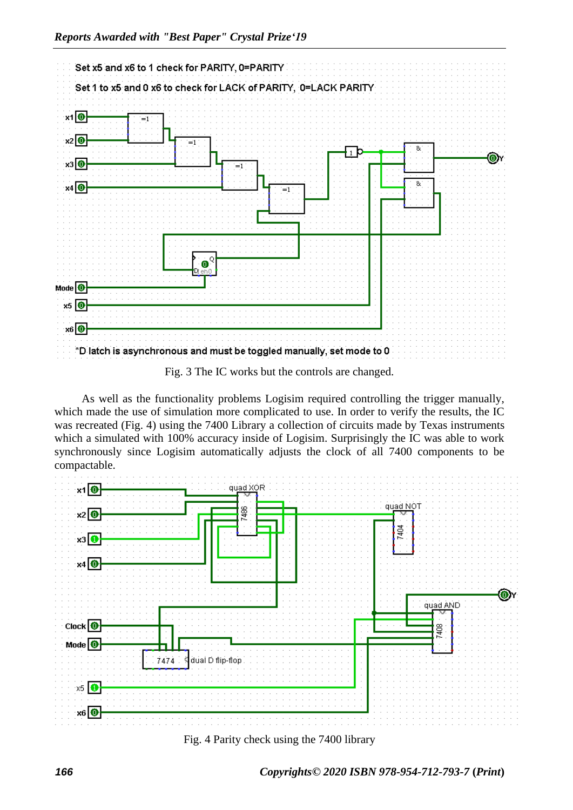

As well as the functionality problems Logisim required controlling the trigger manually, which made the use of simulation more complicated to use. In order to verify the results, the IC was recreated (Fig. 4) using the 7400 Library a collection of circuits made by Texas instruments which a simulated with 100% accuracy inside of Logisim. Surprisingly the IC was able to work synchronously since Logisim automatically adjusts the clock of all 7400 components to be compactable.



Fig. 4 Parity check using the 7400 library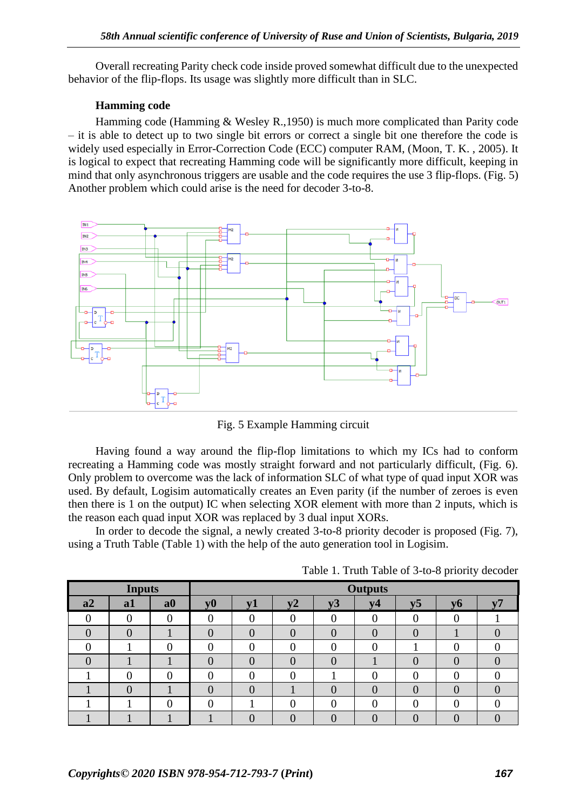Overall recreating Parity check code inside proved somewhat difficult due to the unexpected behavior of the flip-flops. Its usage was slightly more difficult than in SLC.

## **Hamming code**

Hamming code (Hamming & Wesley R.,1950) is much more complicated than Parity code – it is able to detect up to two single bit errors or correct a single bit one therefore the code is widely used especially in Error-Correction Code (ECC) computer RAM, (Moon, T. K. , 2005). It is logical to expect that recreating Hamming code will be significantly more difficult, keeping in mind that only asynchronous triggers are usable and the code requires the use 3 flip-flops. (Fig. 5) Another problem which could arise is the need for decoder 3-to-8.



Fig. 5 Example Hamming circuit

Having found a way around the flip-flop limitations to which my ICs had to conform recreating a Hamming code was mostly straight forward and not particularly difficult, (Fig. 6). Only problem to overcome was the lack of information SLC of what type of quad input XOR was used. By default, Logisim automatically creates an Even parity (if the number of zeroes is even then there is 1 on the output) IC when selecting XOR element with more than 2 inputs, which is the reason each quad input XOR was replaced by 3 dual input XORs.

In order to decode the signal, a newly created 3-to-8 priority decoder is proposed (Fig. 7), using a Truth Table (Table 1) with the help of the auto generation tool in Logisim.

| <b>Inputs</b> |    |    | <b>Outputs</b> |            |       |    |                |                |           |  |
|---------------|----|----|----------------|------------|-------|----|----------------|----------------|-----------|--|
| a2            | a1 | a0 | ${\bf v}0$     | ${\bf v1}$ | $V^2$ | v3 | V <sub>4</sub> | v <sub>5</sub> | <b>v6</b> |  |
|               |    |    |                |            |       |    |                |                |           |  |
|               |    |    |                |            |       |    |                | 0              |           |  |
|               |    |    |                |            |       |    |                |                |           |  |
|               |    |    | $\overline{0}$ |            |       |    |                | $\overline{0}$ |           |  |
|               | 0  |    |                |            |       |    |                |                |           |  |
|               |    |    | $\theta$       |            |       |    |                | 0              |           |  |
|               |    |    | ∩              |            |       |    |                |                |           |  |
|               |    |    |                |            |       |    |                |                |           |  |

Table 1. Truth Table of 3-to-8 priority decoder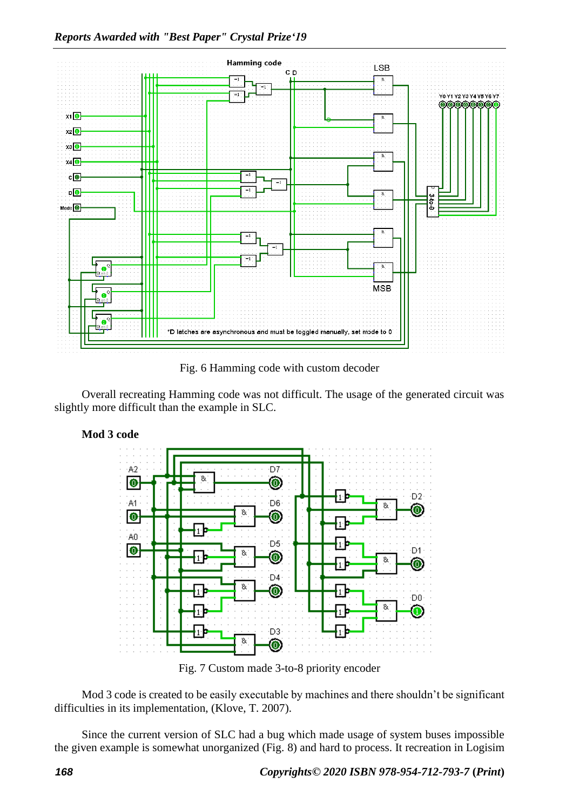

Fig. 6 Hamming code with custom decoder

Overall recreating Hamming code was not difficult. The usage of the generated circuit was slightly more difficult than the example in SLC.



Fig. 7 Custom made 3-to-8 priority encoder

Mod 3 code is created to be easily executable by machines and there shouldn't be significant difficulties in its implementation, (Klove, T. 2007).

Since the current version of SLC had a bug which made usage of system buses impossible the given example is somewhat unorganized (Fig. 8) and hard to process. It recreation in Logisim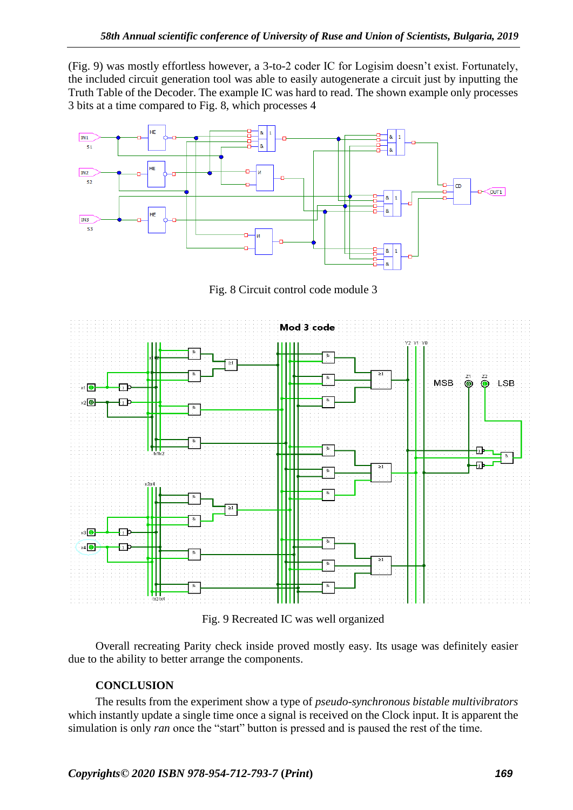(Fig. 9) was mostly effortless however, a 3-to-2 coder IC for Logisim doesn't exist. Fortunately, the included circuit generation tool was able to easily autogenerate a circuit just by inputting the Truth Table of the Decoder. The example IC was hard to read. The shown example only processes 3 bits at a time compared to Fig. 8, which processes 4



Fig. 8 Circuit control code module 3



Fig. 9 Recreated IC was well organized

Overall recreating Parity check inside proved mostly easy. Its usage was definitely easier due to the ability to better arrange the components.

## **CONCLUSION**

The results from the experiment show a type of *pseudo-synchronous bistable multivibrators* which instantly update a single time once a signal is received on the Clock input. It is apparent the simulation is only *ran* once the "start" button is pressed and is paused the rest of the time.